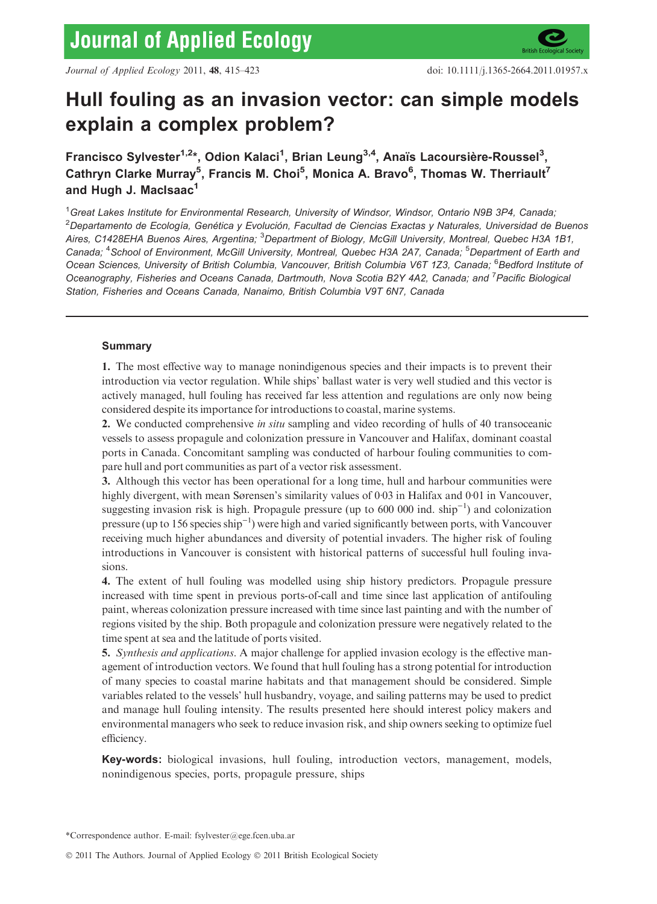# Hull fouling as an invasion vector: can simple models explain a complex problem?

Francisco Sylvester<sup>1,2</sup>\*, Odion Kalaci<sup>1</sup>, Brian Leung<sup>3,4</sup>, Anaïs Lacoursière-Roussel<sup>3</sup>, Cathryn Clarke Murray<sup>5</sup>, Francis M. Choi<sup>5</sup>, Monica A. Bravo<sup>6</sup>, Thomas W. Therriault<sup>7</sup> and Hugh J. MacIsaac<sup>1</sup>

<sup>1</sup>Great Lakes Institute for Environmental Research, University of Windsor, Windsor, Ontario N9B 3P4, Canada, <sup>2</sup>Departamento de Ecología, Genética y Evolución, Facultad de Ciencias Exactas y Naturales, Universidad de Buenos Aires, C1428EHA Buenos Aires, Argentina; <sup>3</sup>Department of Biology, McGill University, Montreal, Quebec H3A 1B1, Canada; <sup>4</sup>School of Environment, McGill University, Montreal, Quebec H3A 2A7, Canada; <sup>5</sup>Department of Earth and Ocean Sciences, University of British Columbia, Vancouver, British Columbia V6T 1Z3, Canada; <sup>6</sup>Bedford Institute ot Oceanography, Fisheries and Oceans Canada, Dartmouth, Nova Scotia B2Y 4A2, Canada; and <sup>7</sup>Pacific Biological Station, Fisheries and Oceans Canada, Nanaimo, British Columbia V9T 6N7, Canada

## Summary

1. The most effective way to manage nonindigenous species and their impacts is to prevent their introduction via vector regulation. While ships' ballast water is very well studied and this vector is actively managed, hull fouling has received far less attention and regulations are only now being considered despite its importance for introductions to coastal, marine systems.

2. We conducted comprehensive *in situ* sampling and video recording of hulls of 40 transoceanic vessels to assess propagule and colonization pressure in Vancouver and Halifax, dominant coastal ports in Canada. Concomitant sampling was conducted of harbour fouling communities to compare hull and port communities as part of a vector risk assessment.

3. Although this vector has been operational for a long time, hull and harbour communities were highly divergent, with mean Sørensen's similarity values of  $0.03$  in Halifax and  $0.01$  in Vancouver, suggesting invasion risk is high. Propagule pressure (up to  $600\ 000$  ind. ship<sup>-1</sup>) and colonization pressure (up to 156 species ship<sup>-1</sup>) were high and varied significantly between ports, with Vancouver receiving much higher abundances and diversity of potential invaders. The higher risk of fouling introductions in Vancouver is consistent with historical patterns of successful hull fouling invasions.

4. The extent of hull fouling was modelled using ship history predictors. Propagule pressure increased with time spent in previous ports-of-call and time since last application of antifouling paint, whereas colonization pressure increased with time since last painting and with the number of regions visited by the ship. Both propagule and colonization pressure were negatively related to the time spent at sea and the latitude of ports visited.

5. Synthesis and applications. A major challenge for applied invasion ecology is the effective management of introduction vectors. We found that hull fouling has a strong potential for introduction of many species to coastal marine habitats and that management should be considered. Simple variables related to the vessels' hull husbandry, voyage, and sailing patterns may be used to predict and manage hull fouling intensity. The results presented here should interest policy makers and environmental managers who seek to reduce invasion risk, and ship owners seeking to optimize fuel efficiency.

Key-words: biological invasions, hull fouling, introduction vectors, management, models, nonindigenous species, ports, propagule pressure, ships

\*Correspondence author. E-mail: fsylvester@ege.fcen.uba.ar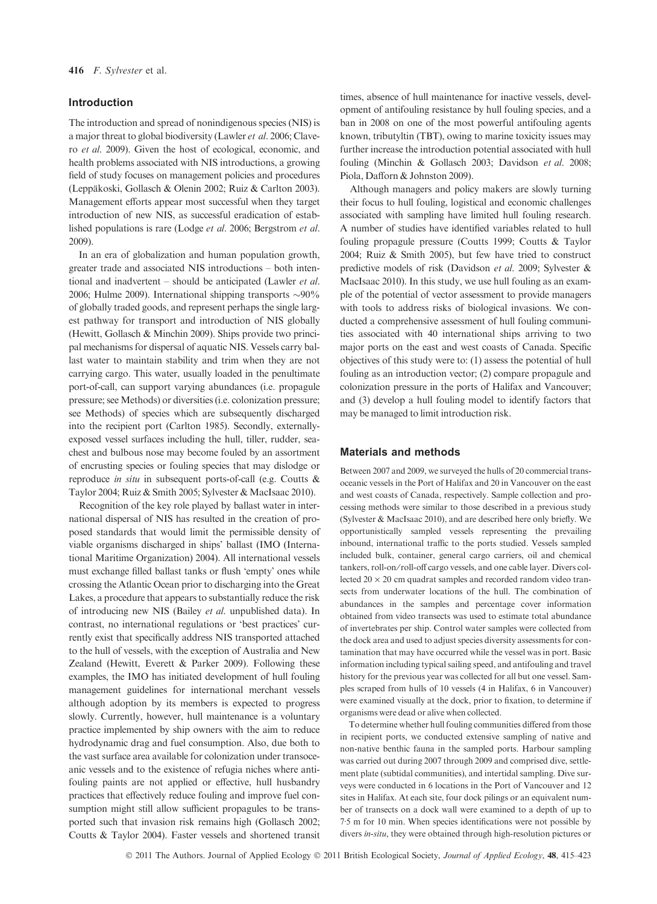#### Introduction

The introduction and spread of nonindigenous species (NIS) is a major threat to global biodiversity (Lawler et al. 2006; Clavero et al. 2009). Given the host of ecological, economic, and health problems associated with NIS introductions, a growing field of study focuses on management policies and procedures (Leppäkoski, Gollasch & Olenin 2002; Ruiz & Carlton 2003). Management efforts appear most successful when they target introduction of new NIS, as successful eradication of established populations is rare (Lodge et al. 2006; Bergstrom et al. 2009).

In an era of globalization and human population growth, greater trade and associated NIS introductions – both intentional and inadvertent – should be anticipated (Lawler et al. 2006; Hulme 2009). International shipping transports  $\sim$ 90% of globally traded goods, and represent perhaps the single largest pathway for transport and introduction of NIS globally (Hewitt, Gollasch & Minchin 2009). Ships provide two principal mechanisms for dispersal of aquatic NIS. Vessels carry ballast water to maintain stability and trim when they are not carrying cargo. This water, usually loaded in the penultimate port-of-call, can support varying abundances (i.e. propagule pressure; see Methods) or diversities (i.e. colonization pressure; see Methods) of species which are subsequently discharged into the recipient port (Carlton 1985). Secondly, externallyexposed vessel surfaces including the hull, tiller, rudder, seachest and bulbous nose may become fouled by an assortment of encrusting species or fouling species that may dislodge or reproduce in situ in subsequent ports-of-call (e.g. Coutts & Taylor 2004; Ruiz & Smith 2005; Sylvester & MacIsaac 2010).

Recognition of the key role played by ballast water in international dispersal of NIS has resulted in the creation of proposed standards that would limit the permissible density of viable organisms discharged in ships' ballast (IMO (International Maritime Organization) 2004). All international vessels must exchange filled ballast tanks or flush 'empty' ones while crossing the Atlantic Ocean prior to discharging into the Great Lakes, a procedure that appears to substantially reduce the risk of introducing new NIS (Bailey et al. unpublished data). In contrast, no international regulations or 'best practices' currently exist that specifically address NIS transported attached to the hull of vessels, with the exception of Australia and New Zealand (Hewitt, Everett & Parker 2009). Following these examples, the IMO has initiated development of hull fouling management guidelines for international merchant vessels although adoption by its members is expected to progress slowly. Currently, however, hull maintenance is a voluntary practice implemented by ship owners with the aim to reduce hydrodynamic drag and fuel consumption. Also, due both to the vast surface area available for colonization under transoceanic vessels and to the existence of refugia niches where antifouling paints are not applied or effective, hull husbandry practices that effectively reduce fouling and improve fuel consumption might still allow sufficient propagules to be transported such that invasion risk remains high (Gollasch 2002; Coutts & Taylor 2004). Faster vessels and shortened transit times, absence of hull maintenance for inactive vessels, development of antifouling resistance by hull fouling species, and a ban in 2008 on one of the most powerful antifouling agents known, tributyltin (TBT), owing to marine toxicity issues may further increase the introduction potential associated with hull fouling (Minchin & Gollasch 2003; Davidson et al. 2008; Piola, Dafforn & Johnston 2009).

Although managers and policy makers are slowly turning their focus to hull fouling, logistical and economic challenges associated with sampling have limited hull fouling research. A number of studies have identified variables related to hull fouling propagule pressure (Coutts 1999; Coutts & Taylor 2004; Ruiz & Smith 2005), but few have tried to construct predictive models of risk (Davidson et al. 2009; Sylvester & MacIsaac 2010). In this study, we use hull fouling as an example of the potential of vector assessment to provide managers with tools to address risks of biological invasions. We conducted a comprehensive assessment of hull fouling communities associated with 40 international ships arriving to two major ports on the east and west coasts of Canada. Specific objectives of this study were to: (1) assess the potential of hull fouling as an introduction vector; (2) compare propagule and colonization pressure in the ports of Halifax and Vancouver; and (3) develop a hull fouling model to identify factors that may be managed to limit introduction risk.

#### Materials and methods

Between 2007 and 2009, we surveyed the hulls of 20 commercial transoceanic vessels in the Port of Halifax and 20 in Vancouver on the east and west coasts of Canada, respectively. Sample collection and processing methods were similar to those described in a previous study (Sylvester & MacIsaac 2010), and are described here only briefly. We opportunistically sampled vessels representing the prevailing inbound, international traffic to the ports studied. Vessels sampled included bulk, container, general cargo carriers, oil and chemical tankers, roll-on ⁄roll-off cargo vessels, and one cable layer. Divers collected  $20 \times 20$  cm quadrat samples and recorded random video transects from underwater locations of the hull. The combination of abundances in the samples and percentage cover information obtained from video transects was used to estimate total abundance of invertebrates per ship. Control water samples were collected from the dock area and used to adjust species diversity assessments for contamination that may have occurred while the vessel was in port. Basic information including typical sailing speed, and antifouling and travel history for the previous year was collected for all but one vessel. Samples scraped from hulls of 10 vessels (4 in Halifax, 6 in Vancouver) were examined visually at the dock, prior to fixation, to determine if organisms were dead or alive when collected.

To determine whether hull fouling communities differed from those in recipient ports, we conducted extensive sampling of native and non-native benthic fauna in the sampled ports. Harbour sampling was carried out during 2007 through 2009 and comprised dive, settlement plate (subtidal communities), and intertidal sampling. Dive surveys were conducted in 6 locations in the Port of Vancouver and 12 sites in Halifax. At each site, four dock pilings or an equivalent number of transects on a dock wall were examined to a depth of up to 7.5 m for 10 min. When species identifications were not possible by divers in-situ, they were obtained through high-resolution pictures or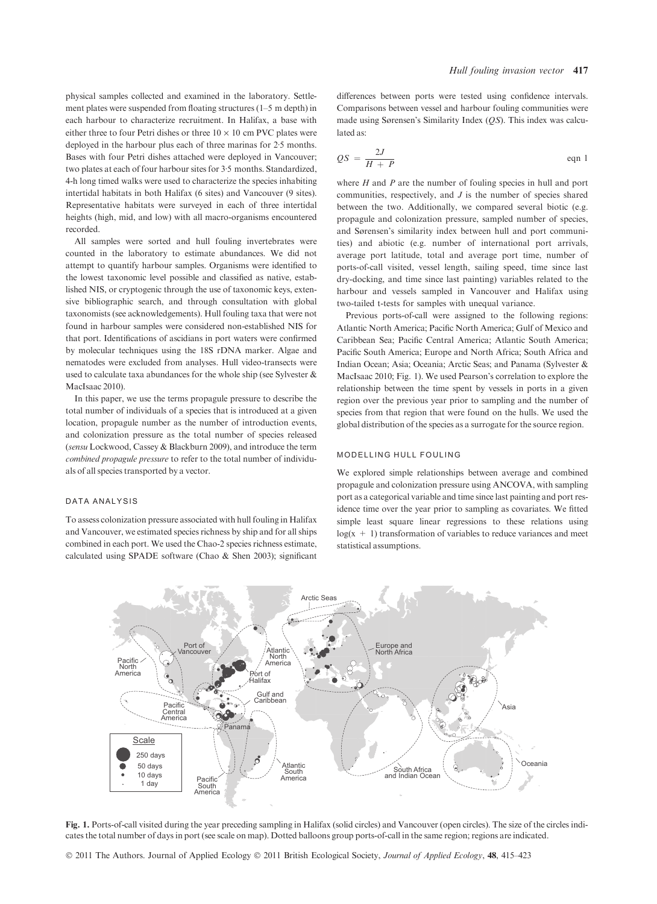physical samples collected and examined in the laboratory. Settlement plates were suspended from floating structures (1–5 m depth) in each harbour to characterize recruitment. In Halifax, a base with either three to four Petri dishes or three  $10 \times 10$  cm PVC plates were deployed in the harbour plus each of three marinas for  $2.5$  months. Bases with four Petri dishes attached were deployed in Vancouver; two plates at each of four harbour sites for 3.5 months. Standardized, 4-h long timed walks were used to characterize the species inhabiting intertidal habitats in both Halifax (6 sites) and Vancouver (9 sites). Representative habitats were surveyed in each of three intertidal heights (high, mid, and low) with all macro-organisms encountered recorded.

All samples were sorted and hull fouling invertebrates were counted in the laboratory to estimate abundances. We did not attempt to quantify harbour samples. Organisms were identified to the lowest taxonomic level possible and classified as native, established NIS, or cryptogenic through the use of taxonomic keys, extensive bibliographic search, and through consultation with global taxonomists (see acknowledgements). Hull fouling taxa that were not found in harbour samples were considered non-established NIS for that port. Identifications of ascidians in port waters were confirmed by molecular techniques using the 18S rDNA marker. Algae and nematodes were excluded from analyses. Hull video-transects were used to calculate taxa abundances for the whole ship (see Sylvester  $\&$ MacIsaac 2010).

In this paper, we use the terms propagule pressure to describe the total number of individuals of a species that is introduced at a given location, propagule number as the number of introduction events, and colonization pressure as the total number of species released (sensu Lockwood, Cassey & Blackburn 2009), and introduce the term combined propagule pressure to refer to the total number of individuals of all species transported by a vector.

#### DATA ANALYSIS

To assess colonization pressure associated with hull fouling in Halifax and Vancouver, we estimated species richness by ship and for all ships combined in each port. We used the Chao-2 species richness estimate, calculated using SPADE software (Chao & Shen 2003); significant differences between ports were tested using confidence intervals. Comparisons between vessel and harbour fouling communities were made using Sørensen's Similarity Index (QS). This index was calculated as:

$$
QS = \frac{2J}{H+P}
$$
eqn 1

where  $H$  and  $P$  are the number of fouling species in hull and port communities, respectively, and  $J$  is the number of species shared between the two. Additionally, we compared several biotic (e.g. propagule and colonization pressure, sampled number of species, and Sørensen's similarity index between hull and port communities) and abiotic (e.g. number of international port arrivals, average port latitude, total and average port time, number of ports-of-call visited, vessel length, sailing speed, time since last dry-docking, and time since last painting) variables related to the harbour and vessels sampled in Vancouver and Halifax using two-tailed t-tests for samples with unequal variance.

Previous ports-of-call were assigned to the following regions: Atlantic North America; Pacific North America; Gulf of Mexico and Caribbean Sea; Pacific Central America; Atlantic South America; Pacific South America; Europe and North Africa; South Africa and Indian Ocean; Asia; Oceania; Arctic Seas; and Panama (Sylvester & MacIsaac 2010; Fig. 1). We used Pearson's correlation to explore the relationship between the time spent by vessels in ports in a given region over the previous year prior to sampling and the number of species from that region that were found on the hulls. We used the global distribution of the species as a surrogate for the source region.

#### MODELLING HULL FOULING

We explored simple relationships between average and combined propagule and colonization pressure using ANCOVA, with sampling port as a categorical variable and time since last painting and port residence time over the year prior to sampling as covariates. We fitted simple least square linear regressions to these relations using  $log(x + 1)$  transformation of variables to reduce variances and meet statistical assumptions.



Fig. 1. Ports-of-call visited during the year preceding sampling in Halifax (solid circles) and Vancouver (open circles). The size of the circles indicates the total number of days in port (see scale on map). Dotted balloons group ports-of-call in the same region; regions are indicated.

© 2011 The Authors. Journal of Applied Ecology © 2011 British Ecological Society, Journal of Applied Ecology, 48, 415-423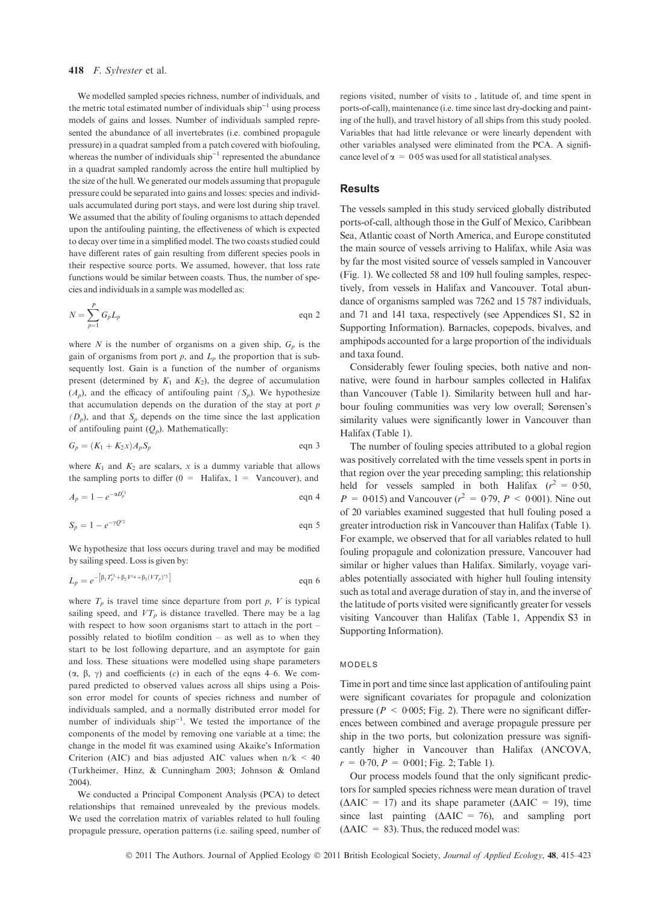#### 418 F. Sylvester et al.

We modelled sampled species richness, number of individuals, and the metric total estimated number of individuals  $\sin^{-1}$  using process models of gains and losses. Number of individuals sampled represented the abundance of all invertebrates (i.e. combined propagule pressure) in a quadrat sampled from a patch covered with biofouling, whereas the number of individuals  $\sinh^{-1}$  represented the abundance in a quadrat sampled randomly across the entire hull multiplied by the size of the hull. We generated our models assuming that propagule pressure could be separated into gains and losses: species and individuals accumulated during port stays, and were lost during ship travel. We assumed that the ability of fouling organisms to attach depended upon the antifouling painting, the effectiveness of which is expected to decay over time in a simplified model. The two coasts studied could have different rates of gain resulting from different species pools in their respective source ports. We assumed, however, that loss rate functions would be similar between coasts. Thus, the number of species and individuals in a sample was modelled as:

$$
N = \sum_{p=1}^{P} G_p L_p \qquad \text{eqn 2}
$$

where N is the number of organisms on a given ship,  $G_p$  is the gain of organisms from port  $p$ , and  $L_p$  the proportion that is subsequently lost. Gain is a function of the number of organisms present (determined by  $K_1$  and  $K_2$ ), the degree of accumulation  $(A_p)$ , and the efficacy of antifouling paint  $(S_p)$ . We hypothesize that accumulation depends on the duration of the stay at port  $p$  $(D_p)$ , and that  $S_p$  depends on the time since the last application of antifouling paint  $(Q_p)$ . Mathematically:

$$
G_p = (K_1 + K_2 x) A_p S_p
$$
eqn 3

where  $K_1$  and  $K_2$  are scalars, x is a dummy variable that allows the sampling ports to differ  $(0 = \text{Halifax}, 1 = \text{Vancouver})$ , and

$$
A_p = 1 - e^{-\alpha D_p^{c_1}} \tag{eqn 4}
$$

$$
S_p = 1 - e^{-\gamma Q^{c_2}} \tag{eqn 5}
$$

We hypothesize that loss occurs during travel and may be modified by sailing speed. Loss is given by:

$$
L_p = e^{-\left[\beta_1 T_p^{4} + \beta_2 V^{4} + \beta_3 (V T_p)^{6}\right]}
$$
eqn 6

where  $T_p$  is travel time since departure from port p, V is typical sailing speed, and  $VT_p$  is distance travelled. There may be a lag with respect to how soon organisms start to attach in the port – possibly related to biofilm condition – as well as to when they start to be lost following departure, and an asymptote for gain and loss. These situations were modelled using shape parameters  $(\alpha, \beta, \gamma)$  and coefficients (c) in each of the eqns 4–6. We compared predicted to observed values across all ships using a Poisson error model for counts of species richness and number of individuals sampled, and a normally distributed error model for number of individuals  $\text{ship}^{-1}$ . We tested the importance of the components of the model by removing one variable at a time; the change in the model fit was examined using Akaike's Information Criterion (AIC) and bias adjusted AIC values when  $n/k < 40$ (Turkheimer, Hinz, & Cunningham 2003; Johnson & Omland 2004).

We conducted a Principal Component Analysis (PCA) to detect relationships that remained unrevealed by the previous models. We used the correlation matrix of variables related to hull fouling propagule pressure, operation patterns (i.e. sailing speed, number of regions visited, number of visits to , latitude of, and time spent in ports-of-call), maintenance (i.e. time since last dry-docking and painting of the hull), and travel history of all ships from this study pooled. Variables that had little relevance or were linearly dependent with other variables analysed were eliminated from the PCA. A significance level of  $\alpha = 0.05$  was used for all statistical analyses.

#### Results

The vessels sampled in this study serviced globally distributed ports-of-call, although those in the Gulf of Mexico, Caribbean Sea, Atlantic coast of North America, and Europe constituted the main source of vessels arriving to Halifax, while Asia was by far the most visited source of vessels sampled in Vancouver (Fig. 1). We collected 58 and 109 hull fouling samples, respectively, from vessels in Halifax and Vancouver. Total abundance of organisms sampled was 7262 and 15 787 individuals, and 71 and 141 taxa, respectively (see Appendices S1, S2 in Supporting Information). Barnacles, copepods, bivalves, and amphipods accounted for a large proportion of the individuals and taxa found.

Considerably fewer fouling species, both native and nonnative, were found in harbour samples collected in Halifax than Vancouver (Table 1). Similarity between hull and harbour fouling communities was very low overall; Sørensen's similarity values were significantly lower in Vancouver than Halifax (Table 1).

The number of fouling species attributed to a global region was positively correlated with the time vessels spent in ports in that region over the year preceding sampling; this relationship held for vessels sampled in both Halifax  $(r^2 = 0.50,$  $P = 0.015$ ) and Vancouver ( $r^2 = 0.79$ ,  $P < 0.001$ ). Nine out of 20 variables examined suggested that hull fouling posed a greater introduction risk in Vancouver than Halifax (Table 1). For example, we observed that for all variables related to hull fouling propagule and colonization pressure, Vancouver had similar or higher values than Halifax. Similarly, voyage variables potentially associated with higher hull fouling intensity such as total and average duration of stay in, and the inverse of the latitude of ports visited were significantly greater for vessels visiting Vancouver than Halifax (Table 1, Appendix S3 in Supporting Information).

#### MODELS

Time in port and time since last application of antifouling paint were significant covariates for propagule and colonization pressure ( $P < 0.005$ ; Fig. 2). There were no significant differences between combined and average propagule pressure per ship in the two ports, but colonization pressure was significantly higher in Vancouver than Halifax (ANCOVA,  $r = 0.70, P = 0.001$ ; Fig. 2; Table 1).

Our process models found that the only significant predictors for sampled species richness were mean duration of travel  $(\Delta AIC = 17)$  and its shape parameter  $(\Delta AIC = 19)$ , time since last painting  $(AAIC = 76)$ , and sampling port  $(AAIC = 83)$ . Thus, the reduced model was: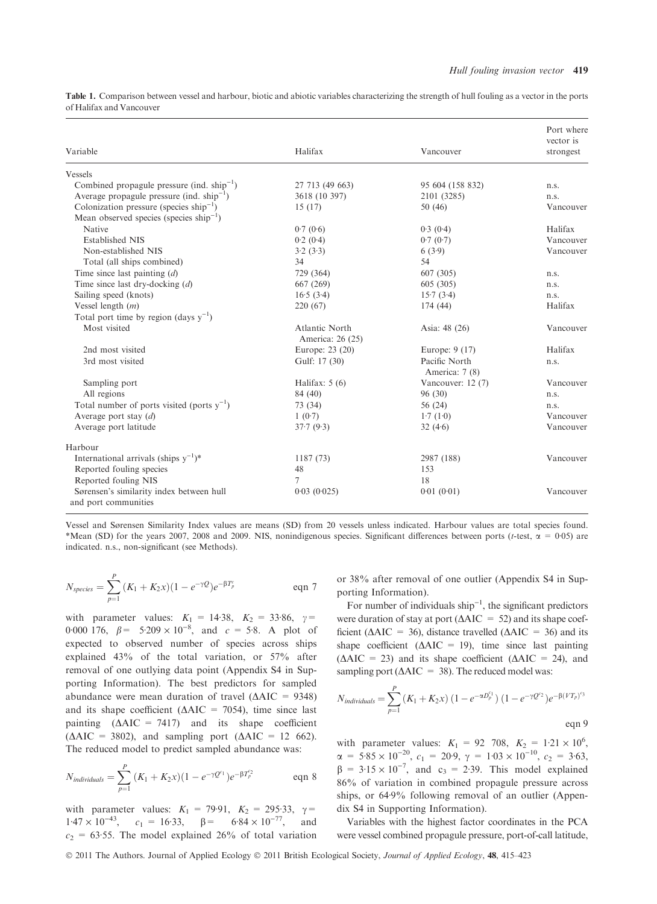| <b>Table 1.</b> Comparison between vessel and harbour, biotic and abiotic variables characterizing the strength of hull fouling as a vector in the ports |  |  |  |  |
|----------------------------------------------------------------------------------------------------------------------------------------------------------|--|--|--|--|
| of Halifax and Vancouver                                                                                                                                 |  |  |  |  |

|                                                                  |                       |                   | Port where<br>vector is<br>strongest |  |
|------------------------------------------------------------------|-----------------------|-------------------|--------------------------------------|--|
| Variable                                                         | Halifax               | Vancouver         |                                      |  |
| <b>Vessels</b>                                                   |                       |                   |                                      |  |
| Combined propagule pressure (ind. $\text{ship}^{-1}$ )           | 27 713 (49 663)       | 95 604 (158 832)  | n.s.                                 |  |
| Average propagule pressure (ind. ship <sup>-1</sup> )            | 3618 (10 397)         | 2101 (3285)       | n.s.                                 |  |
| Colonization pressure (species $\text{ship}^{-1}$ )              | 15(17)                | 50(46)            | Vancouver                            |  |
| Mean observed species (species ship <sup>-1</sup> )              |                       |                   |                                      |  |
| Native                                                           | 0.7(0.6)              | 0.3(0.4)          | Halifax                              |  |
| <b>Established NIS</b>                                           | 0.2(0.4)              | 0.7(0.7)          | Vancouver                            |  |
| Non-established NIS                                              | 3.2(3.3)              | 6(3.9)            | Vancouver                            |  |
| Total (all ships combined)                                       | 34                    | 54                |                                      |  |
| Time since last painting $(d)$                                   | 729 (364)             | 607 (305)         | n.s.                                 |  |
| Time since last dry-docking $(d)$                                | 667 (269)             | 605 (305)         | n.s.                                 |  |
| Sailing speed (knots)                                            | 16.5(3.4)             | 15.7(3.4)         | n.s.                                 |  |
| Vessel length $(m)$                                              | 220(67)               | 174(44)           | Halifax                              |  |
| Total port time by region (days $y^{-1}$ )                       |                       |                   |                                      |  |
| Most visited                                                     | <b>Atlantic North</b> | Asia: 48 (26)     | Vancouver                            |  |
|                                                                  | America: 26 (25)      |                   |                                      |  |
| 2nd most visited                                                 | Europe: 23 (20)       | Europe: 9 (17)    | Halifax                              |  |
| 3rd most visited                                                 | Gulf: 17 (30)         | Pacific North     | n.s.                                 |  |
|                                                                  |                       | America: 7 (8)    |                                      |  |
| Sampling port                                                    | Halifax: $5(6)$       | Vancouver: 12 (7) | Vancouver                            |  |
| All regions                                                      | 84 (40)               | 96(30)            | n.s.                                 |  |
| Total number of ports visited (ports $y^{-1}$ )                  | 73 (34)               | 56 (24)           | n.s.                                 |  |
| Average port stay $(d)$                                          | 1(0.7)                | 1.7(1.0)          | Vancouver                            |  |
| Average port latitude                                            | 37.7(9.3)             | 32(4.6)           | Vancouver                            |  |
| Harbour                                                          |                       |                   |                                      |  |
| International arrivals (ships $y^{-1}$ )*                        | 1187(73)              | 2987 (188)        | Vancouver                            |  |
| Reported fouling species                                         | 48                    | 153               |                                      |  |
| Reported fouling NIS                                             | 7                     | 18                |                                      |  |
| Sørensen's similarity index between hull<br>and port communities | 0.03(0.025)           | 0.01(0.01)        | Vancouver                            |  |

Vessel and Sørensen Similarity Index values are means (SD) from 20 vessels unless indicated. Harbour values are total species found. \*Mean (SD) for the years 2007, 2008 and 2009. NIS, nonindigenous species. Significant differences between ports (t-test,  $\alpha = 0.05$ ) are indicated. n.s., non-significant (see Methods).

$$
N_{species} = \sum_{p=1}^{P} (K_1 + K_2 x)(1 - e^{-\gamma Q})e^{-\beta T_p^c}
$$
 eqn 7

with parameter values:  $K_1 = 14.38$ ,  $K_2 = 33.86$ ,  $\gamma =$ 0.000 176,  $\beta = 5.209 \times 10^{-8}$ , and  $c = 5.8$ . A plot of expected to observed number of species across ships explained 43% of the total variation, or 57% after removal of one outlying data point (Appendix S4 in Supporting Information). The best predictors for sampled abundance were mean duration of travel ( $\triangle AIC = 9348$ ) and its shape coefficient ( $\Delta AIC = 7054$ ), time since last painting  $(\Delta AIC = 7417)$  and its shape coefficient  $(\Delta AIC = 3802)$ , and sampling port  $(\Delta AIC = 12 \ 662)$ . The reduced model to predict sampled abundance was:

$$
N_{individuals} = \sum_{p=1}^{P} (K_1 + K_2 x)(1 - e^{-\gamma Q^{c_1}})e^{-\beta T_p^{c_2}} \qquad \text{eqn 8}
$$

with parameter values:  $K_1 = 79.91$ ,  $K_2 = 295.33$ ,  $\gamma =$  $1.47 \times 10^{-43}$ ,  $c_1 = 16.33$ ,  $\beta = 6.84 \times 10^{-77}$ , and  $c_2$  = 63.55. The model explained 26% of total variation or 38% after removal of one outlier (Appendix S4 in Supporting Information).

For number of individuals  $\text{ship}^{-1}$ , the significant predictors were duration of stay at port ( $\triangle AIC = 52$ ) and its shape coefficient ( $\triangle AIC = 36$ ), distance travelled ( $\triangle AIC = 36$ ) and its shape coefficient ( $\Delta AIC = 19$ ), time since last painting  $(\Delta AIC = 23)$  and its shape coefficient  $(\Delta AIC = 24)$ , and sampling port ( $\triangle AIC = 38$ ). The reduced model was:

$$
N_{individuals} = \sum_{p=1}^{P} (K_1 + K_2 x) (1 - e^{-\alpha D_p^{c_1}}) (1 - e^{-\gamma Q^{c_2}}) e^{-\beta (VT_p)^{c_3}}
$$
  
eqn 9

with parameter values:  $K_1 = 92 \, 708, \, K_2 = 1.21 \times 10^6,$  $\alpha = 5.85 \times 10^{-20}$ ,  $c_1 = 20.9$ ,  $\gamma = 1.03 \times 10^{-10}$ ,  $c_2 = 3.63$ ,  $\beta = 3.15 \times 10^{-7}$ , and  $c_3 = 2.39$ . This model explained 86% of variation in combined propagule pressure across ships, or 64.9% following removal of an outlier (Appendix S4 in Supporting Information).

Variables with the highest factor coordinates in the PCA were vessel combined propagule pressure, port-of-call latitude,

© 2011 The Authors. Journal of Applied Ecology © 2011 British Ecological Society, Journal of Applied Ecology, 48, 415-423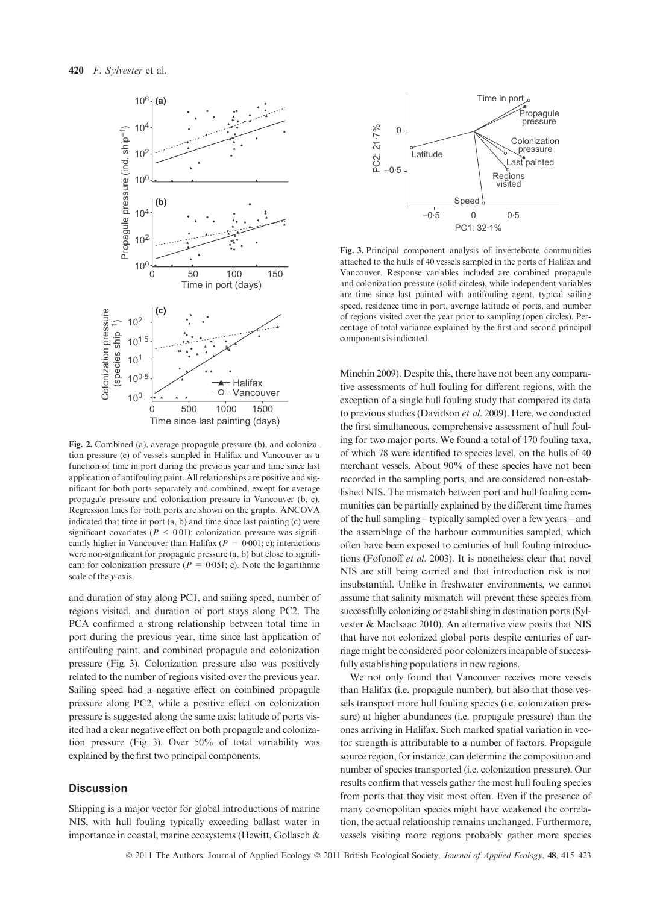

Fig. 2. Combined (a), average propagule pressure (b), and colonization pressure (c) of vessels sampled in Halifax and Vancouver as a function of time in port during the previous year and time since last application of antifouling paint. All relationships are positive and significant for both ports separately and combined, except for average propagule pressure and colonization pressure in Vancouver (b, c). Regression lines for both ports are shown on the graphs. ANCOVA indicated that time in port (a, b) and time since last painting (c) were significant covariates ( $P < 0.01$ ); colonization pressure was significantly higher in Vancouver than Halifax ( $P = 0.001$ ; c); interactions were non-significant for propagule pressure (a, b) but close to significant for colonization pressure ( $P = 0.051$ ; c). Note the logarithmic scale of the y-axis.

and duration of stay along PC1, and sailing speed, number of regions visited, and duration of port stays along PC2. The PCA confirmed a strong relationship between total time in port during the previous year, time since last application of antifouling paint, and combined propagule and colonization pressure (Fig. 3). Colonization pressure also was positively related to the number of regions visited over the previous year. Sailing speed had a negative effect on combined propagule pressure along PC2, while a positive effect on colonization pressure is suggested along the same axis; latitude of ports visited had a clear negative effect on both propagule and colonization pressure (Fig. 3). Over 50% of total variability was explained by the first two principal components.

## **Discussion**

Shipping is a major vector for global introductions of marine NIS, with hull fouling typically exceeding ballast water in importance in coastal, marine ecosystems (Hewitt, Gollasch &



Fig. 3. Principal component analysis of invertebrate communities attached to the hulls of 40 vessels sampled in the ports of Halifax and Vancouver. Response variables included are combined propagule and colonization pressure (solid circles), while independent variables are time since last painted with antifouling agent, typical sailing speed, residence time in port, average latitude of ports, and number of regions visited over the year prior to sampling (open circles). Percentage of total variance explained by the first and second principal components is indicated.

Minchin 2009). Despite this, there have not been any comparative assessments of hull fouling for different regions, with the exception of a single hull fouling study that compared its data to previous studies (Davidson et al. 2009). Here, we conducted the first simultaneous, comprehensive assessment of hull fouling for two major ports. We found a total of 170 fouling taxa, of which 78 were identified to species level, on the hulls of 40 merchant vessels. About 90% of these species have not been recorded in the sampling ports, and are considered non-established NIS. The mismatch between port and hull fouling communities can be partially explained by the different time frames of the hull sampling – typically sampled over a few years – and the assemblage of the harbour communities sampled, which often have been exposed to centuries of hull fouling introductions (Fofonoff et al. 2003). It is nonetheless clear that novel NIS are still being carried and that introduction risk is not insubstantial. Unlike in freshwater environments, we cannot assume that salinity mismatch will prevent these species from successfully colonizing or establishing in destination ports (Sylvester & MacIsaac 2010). An alternative view posits that NIS that have not colonized global ports despite centuries of carriage might be considered poor colonizers incapable of successfully establishing populations in new regions.

We not only found that Vancouver receives more vessels than Halifax (i.e. propagule number), but also that those vessels transport more hull fouling species (i.e. colonization pressure) at higher abundances (i.e. propagule pressure) than the ones arriving in Halifax. Such marked spatial variation in vector strength is attributable to a number of factors. Propagule source region, for instance, can determine the composition and number of species transported (i.e. colonization pressure). Our results confirm that vessels gather the most hull fouling species from ports that they visit most often. Even if the presence of many cosmopolitan species might have weakened the correlation, the actual relationship remains unchanged. Furthermore, vessels visiting more regions probably gather more species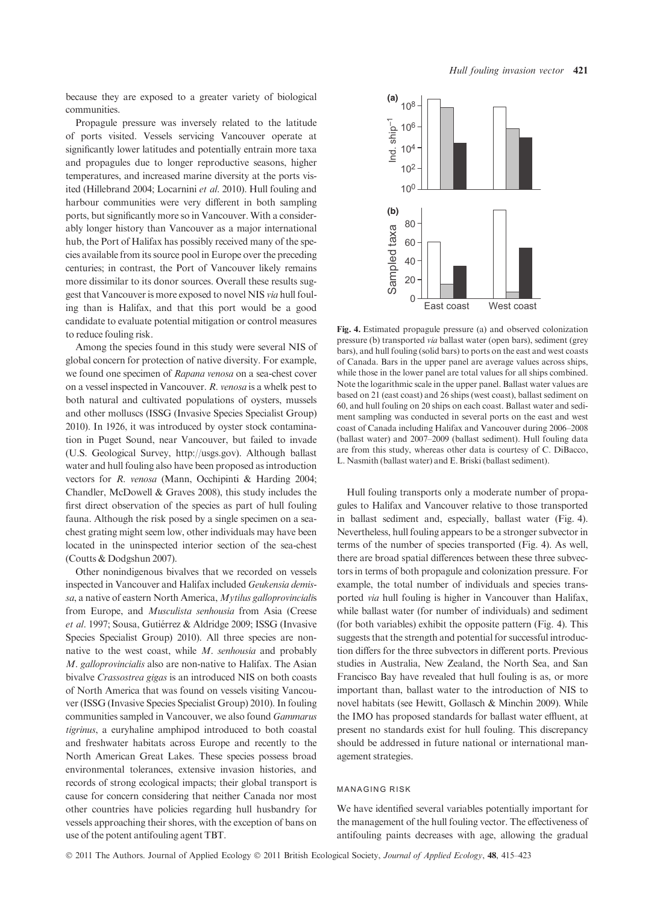because they are exposed to a greater variety of biological communities.

Propagule pressure was inversely related to the latitude of ports visited. Vessels servicing Vancouver operate at significantly lower latitudes and potentially entrain more taxa and propagules due to longer reproductive seasons, higher temperatures, and increased marine diversity at the ports visited (Hillebrand 2004; Locarnini et al. 2010). Hull fouling and harbour communities were very different in both sampling ports, but significantly more so in Vancouver. With a considerably longer history than Vancouver as a major international hub, the Port of Halifax has possibly received many of the species available from its source pool in Europe over the preceding centuries; in contrast, the Port of Vancouver likely remains more dissimilar to its donor sources. Overall these results suggest that Vancouver is more exposed to novel NIS via hull fouling than is Halifax, and that this port would be a good candidate to evaluate potential mitigation or control measures to reduce fouling risk.

Among the species found in this study were several NIS of global concern for protection of native diversity. For example, we found one specimen of Rapana venosa on a sea-chest cover on a vessel inspected in Vancouver. R. venosa is a whelk pest to both natural and cultivated populations of oysters, mussels and other molluscs (ISSG (Invasive Species Specialist Group) 2010). In 1926, it was introduced by oyster stock contamination in Puget Sound, near Vancouver, but failed to invade (U.S. Geological Survey, http://usgs.gov). Although ballast water and hull fouling also have been proposed as introduction vectors for R. venosa (Mann, Occhipinti & Harding 2004; Chandler, McDowell & Graves 2008), this study includes the first direct observation of the species as part of hull fouling fauna. Although the risk posed by a single specimen on a seachest grating might seem low, other individuals may have been located in the uninspected interior section of the sea-chest (Coutts & Dodgshun 2007).

Other nonindigenous bivalves that we recorded on vessels inspected in Vancouver and Halifax included Geukensia demissa, a native of eastern North America, Mytilus galloprovincialis from Europe, and Musculista senhousia from Asia (Creese et al. 1997; Sousa, Gutiérrez & Aldridge 2009; ISSG (Invasive Species Specialist Group) 2010). All three species are nonnative to the west coast, while M. senhousia and probably M. galloprovincialis also are non-native to Halifax. The Asian bivalve Crassostrea gigas is an introduced NIS on both coasts of North America that was found on vessels visiting Vancouver (ISSG (Invasive Species Specialist Group) 2010). In fouling communities sampled in Vancouver, we also found Gammarus tigrinus, a euryhaline amphipod introduced to both coastal and freshwater habitats across Europe and recently to the North American Great Lakes. These species possess broad environmental tolerances, extensive invasion histories, and records of strong ecological impacts; their global transport is cause for concern considering that neither Canada nor most other countries have policies regarding hull husbandry for vessels approaching their shores, with the exception of bans on use of the potent antifouling agent TBT.



Fig. 4. Estimated propagule pressure (a) and observed colonization pressure (b) transported via ballast water (open bars), sediment (grey bars), and hull fouling (solid bars) to ports on the east and west coasts of Canada. Bars in the upper panel are average values across ships, while those in the lower panel are total values for all ships combined. Note the logarithmic scale in the upper panel. Ballast water values are based on 21 (east coast) and 26 ships (west coast), ballast sediment on 60, and hull fouling on 20 ships on each coast. Ballast water and sediment sampling was conducted in several ports on the east and west coast of Canada including Halifax and Vancouver during 2006–2008 (ballast water) and 2007–2009 (ballast sediment). Hull fouling data are from this study, whereas other data is courtesy of C. DiBacco, L. Nasmith (ballast water) and E. Briski (ballast sediment).

Hull fouling transports only a moderate number of propagules to Halifax and Vancouver relative to those transported in ballast sediment and, especially, ballast water (Fig. 4). Nevertheless, hull fouling appears to be a stronger subvector in terms of the number of species transported (Fig. 4). As well, there are broad spatial differences between these three subvectors in terms of both propagule and colonization pressure. For example, the total number of individuals and species transported via hull fouling is higher in Vancouver than Halifax, while ballast water (for number of individuals) and sediment (for both variables) exhibit the opposite pattern (Fig. 4). This suggests that the strength and potential for successful introduction differs for the three subvectors in different ports. Previous studies in Australia, New Zealand, the North Sea, and San Francisco Bay have revealed that hull fouling is as, or more important than, ballast water to the introduction of NIS to novel habitats (see Hewitt, Gollasch & Minchin 2009). While the IMO has proposed standards for ballast water effluent, at present no standards exist for hull fouling. This discrepancy should be addressed in future national or international management strategies.

#### MANAGING RISK

We have identified several variables potentially important for the management of the hull fouling vector. The effectiveness of antifouling paints decreases with age, allowing the gradual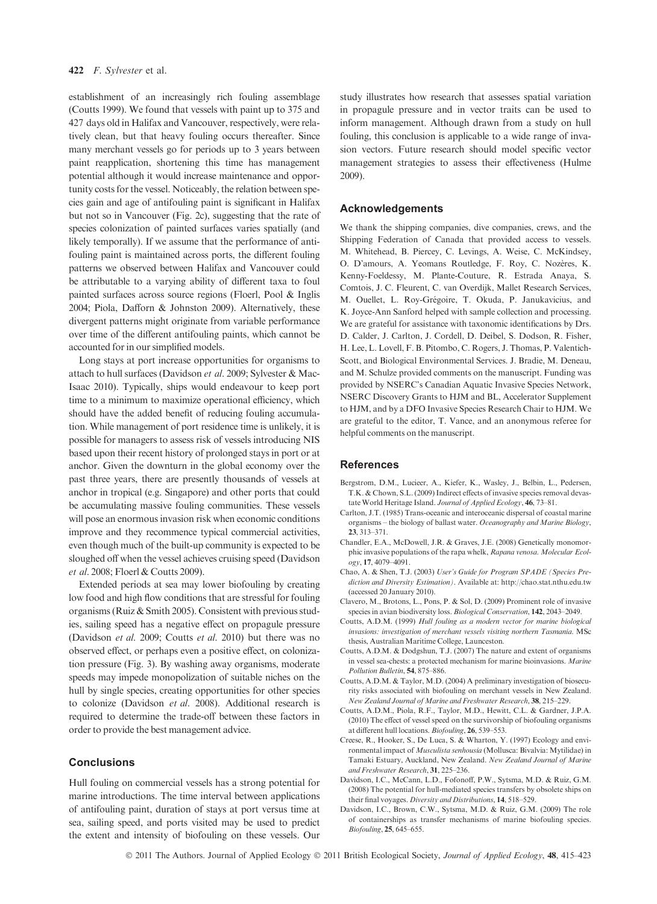establishment of an increasingly rich fouling assemblage (Coutts 1999). We found that vessels with paint up to 375 and 427 days old in Halifax and Vancouver, respectively, were relatively clean, but that heavy fouling occurs thereafter. Since many merchant vessels go for periods up to 3 years between paint reapplication, shortening this time has management potential although it would increase maintenance and opportunity costs for the vessel. Noticeably, the relation between species gain and age of antifouling paint is significant in Halifax but not so in Vancouver (Fig. 2c), suggesting that the rate of species colonization of painted surfaces varies spatially (and likely temporally). If we assume that the performance of antifouling paint is maintained across ports, the different fouling patterns we observed between Halifax and Vancouver could be attributable to a varying ability of different taxa to foul painted surfaces across source regions (Floerl, Pool & Inglis 2004; Piola, Dafforn & Johnston 2009). Alternatively, these divergent patterns might originate from variable performance over time of the different antifouling paints, which cannot be accounted for in our simplified models.

Long stays at port increase opportunities for organisms to attach to hull surfaces (Davidson et al. 2009; Sylvester & Mac-Isaac 2010). Typically, ships would endeavour to keep port time to a minimum to maximize operational efficiency, which should have the added benefit of reducing fouling accumulation. While management of port residence time is unlikely, it is possible for managers to assess risk of vessels introducing NIS based upon their recent history of prolonged stays in port or at anchor. Given the downturn in the global economy over the past three years, there are presently thousands of vessels at anchor in tropical (e.g. Singapore) and other ports that could be accumulating massive fouling communities. These vessels will pose an enormous invasion risk when economic conditions improve and they recommence typical commercial activities, even though much of the built-up community is expected to be sloughed off when the vessel achieves cruising speed (Davidson et al. 2008; Floerl & Coutts 2009).

Extended periods at sea may lower biofouling by creating low food and high flow conditions that are stressful for fouling organisms (Ruiz & Smith 2005). Consistent with previous studies, sailing speed has a negative effect on propagule pressure (Davidson et al. 2009; Coutts et al. 2010) but there was no observed effect, or perhaps even a positive effect, on colonization pressure (Fig. 3). By washing away organisms, moderate speeds may impede monopolization of suitable niches on the hull by single species, creating opportunities for other species to colonize (Davidson et al. 2008). Additional research is required to determine the trade-off between these factors in order to provide the best management advice.

## **Conclusions**

Hull fouling on commercial vessels has a strong potential for marine introductions. The time interval between applications of antifouling paint, duration of stays at port versus time at sea, sailing speed, and ports visited may be used to predict the extent and intensity of biofouling on these vessels. Our study illustrates how research that assesses spatial variation in propagule pressure and in vector traits can be used to inform management. Although drawn from a study on hull fouling, this conclusion is applicable to a wide range of invasion vectors. Future research should model specific vector management strategies to assess their effectiveness (Hulme 2009).

# Acknowledgements

We thank the shipping companies, dive companies, crews, and the Shipping Federation of Canada that provided access to vessels. M. Whitehead, B. Piercey, C. Levings, A. Weise, C. McKindsey, O. D'amours, A. Yeomans Routledge, F. Roy, C. Nozères, K. Kenny-Foeldessy, M. Plante-Couture, R. Estrada Anaya, S. Comtois, J. C. Fleurent, C. van Overdijk, Mallet Research Services, M. Ouellet, L. Roy-Grégoire, T. Okuda, P. Janukavicius, and K. Joyce-Ann Sanford helped with sample collection and processing. We are grateful for assistance with taxonomic identifications by Drs. D. Calder, J. Carlton, J. Cordell, D. Deibel, S. Dodson, R. Fisher, H. Lee, L. Lovell, F. B. Pitombo, C. Rogers, J. Thomas, P. Valentich-Scott, and Biological Environmental Services. J. Bradie, M. Deneau, and M. Schulze provided comments on the manuscript. Funding was provided by NSERC's Canadian Aquatic Invasive Species Network, NSERC Discovery Grants to HJM and BL, Accelerator Supplement to HJM, and by a DFO Invasive Species Research Chair to HJM. We are grateful to the editor, T. Vance, and an anonymous referee for helpful comments on the manuscript.

#### References

- Bergstrom, D.M., Lucieer, A., Kiefer, K., Wasley, J., Belbin, L., Pedersen, T.K. & Chown, S.L. (2009) Indirect effects of invasive species removal devastate World Heritage Island. Journal of Applied Ecology, 46, 73–81.
- Carlton, J.T. (1985) Trans-oceanic and interoceanic dispersal of coastal marine organisms – the biology of ballast water. Oceanography and Marine Biology, 23, 313–371.
- Chandler, E.A., McDowell, J.R. & Graves, J.E. (2008) Genetically monomorphic invasive populations of the rapa whelk, Rapana venosa. Molecular Ecology, 17, 4079–4091.
- Chao, A. & Shen, T.J. (2003) User's Guide for Program SPADE (Species Prediction and Diversity Estimation). Available at: http://chao.stat.nthu.edu.tw (accessed 20 January 2010).
- Clavero, M., Brotons, L., Pons, P. & Sol, D. (2009) Prominent role of invasive species in avian biodiversity loss. Biological Conservation, 142, 2043–2049.
- Coutts, A.D.M. (1999) Hull fouling as a modern vector for marine biological invasions: investigation of merchant vessels visiting northern Tasmania. MSc thesis, Australian Maritime College, Launceston.
- Coutts, A.D.M. & Dodgshun, T.J. (2007) The nature and extent of organisms in vessel sea-chests: a protected mechanism for marine bioinvasions. Marine Pollution Bulletin, 54, 875–886.
- Coutts, A.D.M. & Taylor, M.D. (2004) A preliminary investigation of biosecurity risks associated with biofouling on merchant vessels in New Zealand. New Zealand Journal of Marine and Freshwater Research, 38, 215–229.
- Coutts, A.D.M., Piola, R.F., Taylor, M.D., Hewitt, C.L. & Gardner, J.P.A. (2010) The effect of vessel speed on the survivorship of biofouling organisms at different hull locations. Biofouling, 26, 539–553.
- Creese, R., Hooker, S., De Luca, S. & Wharton, Y. (1997) Ecology and environmental impact of Musculista senhousia (Mollusca: Bivalvia: Mytilidae) in Tamaki Estuary, Auckland, New Zealand. New Zealand Journal of Marine and Freshwater Research, 31, 225–236.
- Davidson, I.C., McCann, L.D., Fofonoff, P.W., Sytsma, M.D. & Ruiz, G.M. (2008) The potential for hull-mediated species transfers by obsolete ships on their final voyages. Diversity and Distributions, 14, 518–529.
- Davidson, I.C., Brown, C.W., Sytsma, M.D. & Ruiz, G.M. (2009) The role of containerships as transfer mechanisms of marine biofouling species. Biofouling, 25, 645–655.